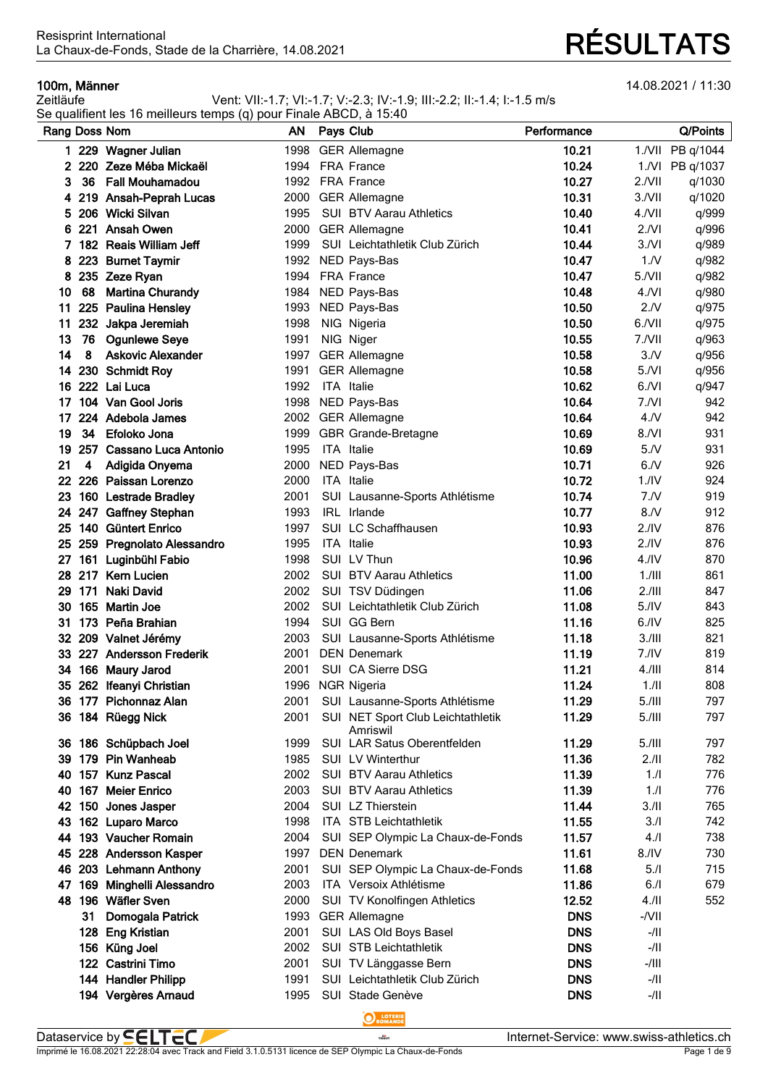**100m, Männer** 14.08.2021 / 11:30<br>Zeitläufe 14.08.2021 / 11:30<br>Zeitläufe 14.08.2021 / 11:30 Vent: VII:-1.7; VI:-1.7; V:-2.3; IV:-1.9; III:-2.2; II:-1.4; I:-1.5 m/s

|               |    | Se qualifient les 16 meilleurs temps (q) pour Finale ABCD, à 15:40 |      |            |                                               |             |                  |                  |
|---------------|----|--------------------------------------------------------------------|------|------------|-----------------------------------------------|-------------|------------------|------------------|
| Rang Doss Nom |    |                                                                    | AN . | Pays Club  |                                               | Performance |                  | Q/Points         |
|               |    | 1 229 Wagner Julian                                                | 1998 |            | <b>GER Allemagne</b>                          | 10.21       |                  | 1./VII PB q/1044 |
|               |    | 2 220 Zeze Méba Mickaël                                            | 1994 |            | <b>FRA France</b>                             | 10.24       |                  | 1./VI PB q/1037  |
| 3             |    | 36 Fall Mouhamadou                                                 |      |            | 1992 FRA France                               | 10.27       | $2.7$ VII        | q/1030           |
|               |    | 4 219 Ansah-Peprah Lucas                                           | 2000 |            | <b>GER Allemagne</b>                          | 10.31       | 3./VII           | q/1020           |
|               |    | 5 206 Wicki Silvan                                                 | 1995 |            | <b>SUI BTV Aarau Athletics</b>                | 10.40       | 4./VII           | q/999            |
|               |    | 6 221 Ansah Owen                                                   | 2000 |            | <b>GER Allemagne</b>                          | 10.41       | 2.NI             | q/996            |
| 7.            |    | 182 Reais William Jeff                                             | 1999 |            | SUI Leichtathletik Club Zürich                | 10.44       | 3/Nl             | q/989            |
|               |    | 8 223 Burnet Taymir                                                |      |            | 1992 NED Pays-Bas                             | 10.47       | 1/N              | q/982            |
| 8             |    | 235 Zeze Ryan                                                      | 1994 |            | <b>FRA France</b>                             | 10.47       | 5./VII           | q/982            |
| 10            |    | 68 Martina Churandy                                                | 1984 |            | NED Pays-Bas                                  | 10.48       | $4.$ $Nl$        | q/980            |
| 11            |    | 225 Paulina Hensley                                                | 1993 |            | NED Pays-Bas                                  | 10.50       | 2.N              | q/975            |
| 11            |    | 232 Jakpa Jeremiah                                                 | 1998 |            | NIG Nigeria                                   | 10.50       | 6./VII           | q/975            |
| 13            |    | 76 Ogunlewe Seye                                                   | 1991 |            | NIG Niger                                     | 10.55       | 7./VII           | q/963            |
| 14            | 8  | <b>Askovic Alexander</b>                                           |      |            | 1997 GER Allemagne                            | 10.58       | 3/N              | q/956            |
| 14            |    | 230 Schmidt Roy                                                    | 1991 |            | <b>GER Allemagne</b>                          | 10.58       | 5/Nl             | q/956            |
|               |    | 16 222 Lai Luca                                                    | 1992 | ITA Italie |                                               | 10.62       | 6/Nl             | q/947            |
| 17            |    | 104 Van Gool Joris                                                 |      |            | 1998 NED Pays-Bas                             | 10.64       | 7.NI             | 942              |
| 17            |    | 224 Adebola James                                                  |      |            | 2002 GER Allemagne                            | 10.64       | 4.N              | 942              |
| 19            | 34 | Efoloko Jona                                                       | 1999 |            | <b>GBR Grande-Bretagne</b>                    | 10.69       | 8/Nl             | 931              |
| 19            |    | 257 Cassano Luca Antonio                                           | 1995 |            | ITA Italie                                    | 10.69       | 5/N              | 931              |
| 21            | 4  | Adigida Onyema                                                     | 2000 |            | NED Pays-Bas                                  | 10.71       | 6.N              | 926              |
|               |    | 22 226 Paissan Lorenzo                                             | 2000 |            | ITA Italie                                    | 10.72       | 1.1 <sub>N</sub> | 924              |
|               |    | 23 160 Lestrade Bradley                                            | 2001 |            | SUI Lausanne-Sports Athlétisme                | 10.74       | 7.N              | 919              |
|               |    | 24 247 Gaffney Stephan                                             | 1993 |            | IRL Irlande                                   | 10.77       | 8.N              | 912              |
|               |    | 25 140 Güntert Enrico                                              | 1997 |            | SUI LC Schaffhausen                           | 10.93       | 2.1V             | 876              |
|               |    | 25 259 Pregnolato Alessandro                                       | 1995 |            | ITA Italie                                    | 10.93       | 2.1 <sub>N</sub> | 876              |
| 27            |    | 161 Luginbühl Fabio                                                | 1998 |            | SUI LV Thun                                   | 10.96       | 4.1 <sub>N</sub> | 870              |
| 28            |    | 217 Kern Lucien                                                    | 2002 |            | <b>SUI BTV Aarau Athletics</b>                | 11.00       | 1.1              | 861              |
| 29            |    | 171 Naki David                                                     | 2002 |            | SUI TSV Düdingen                              | 11.06       | 2.111            | 847              |
| 30            |    | 165 Martin Joe                                                     | 2002 |            | SUI Leichtathletik Club Zürich                | 11.08       | 5.1V             | 843              |
| 31            |    | 173 Peña Brahian                                                   | 1994 |            | SUI GG Bern                                   | 11.16       | 6.1V             | 825              |
|               |    | 32 209 Valnet Jérémy                                               | 2003 |            | SUI Lausanne-Sports Athlétisme                | 11.18       | 3.111            | 821              |
|               |    | 33 227 Andersson Frederik                                          | 2001 |            | <b>DEN Denemark</b>                           | 11.19       | 7.1V             | 819              |
|               |    | 34 166 Maury Jarod                                                 | 2001 |            | SUI CA Sierre DSG                             | 11.21       | 4.111            | 814              |
|               |    | 35 262 Ifeanyi Christian                                           |      |            | 1996 NGR Nigeria                              | 11.24       | $1.$ /II         | 808              |
|               |    | 36 177 Pichonnaz Alan                                              |      |            | 2001 SUI Lausanne-Sports Athlétisme           | 11.29       | 5.111            | 797              |
|               |    | 36 184 Rüegg Nick                                                  | 2001 |            | SUI NET Sport Club Leichtathletik<br>Amriswil | 11.29       | 5.111            | 797              |
|               |    | 36 186 Schüpbach Joel                                              | 1999 |            | SUI LAR Satus Oberentfelden                   | 11.29       | 5.111            | 797              |
|               |    | 39 179 Pin Wanheab                                                 | 1985 |            | SUI LV Winterthur                             | 11.36       | 2.11             | 782              |
|               |    | 40 157 Kunz Pascal                                                 | 2002 |            | <b>SUI BTV Aarau Athletics</b>                | 11.39       | 1.1              | 776              |
|               |    | 40 167 Meier Enrico                                                | 2003 |            | <b>SUI BTV Aarau Athletics</b>                | 11.39       | 1.1              | 776              |
|               |    | 42 150 Jones Jasper                                                | 2004 |            | SUI LZ Thierstein                             | 11.44       | 3.11             | 765              |
| 43.           |    | 162 Luparo Marco                                                   | 1998 |            | ITA STB Leichtathletik                        | 11.55       | 3.1              | 742              |
|               |    | 44 193 Vaucher Romain                                              | 2004 |            | SUI SEP Olympic La Chaux-de-Fonds             | 11.57       | 4.1              | 738              |
|               |    | 45 228 Andersson Kasper                                            | 1997 |            | <b>DEN Denemark</b>                           | 11.61       | 8.1V             | 730              |
|               |    | 46 203 Lehmann Anthony                                             | 2001 |            | SUI SEP Olympic La Chaux-de-Fonds             | 11.68       | 5.1              | 715              |
| 47            |    | 169 Minghelli Alessandro                                           | 2003 |            | ITA Versoix Athlétisme                        | 11.86       | 6.1              | 679              |
| 48            |    | 196 Wäfler Sven                                                    | 2000 |            | SUI TV Konolfingen Athletics                  | 12.52       | $4.$ /ll         | 552              |
|               | 31 | Domogala Patrick                                                   | 1993 |            | <b>GER Allemagne</b>                          | <b>DNS</b>  | -/VII            |                  |
|               |    | 128 Eng Kristian                                                   | 2001 |            | SUI LAS Old Boys Basel                        | <b>DNS</b>  | -/II             |                  |
|               |    | 156 Küng Joel                                                      | 2002 |            | <b>SUI STB Leichtathletik</b>                 | <b>DNS</b>  | -/II             |                  |
|               |    | 122 Castrini Timo                                                  | 2001 |            | SUI TV Länggasse Bern                         | <b>DNS</b>  | -/III            |                  |
|               |    | 144 Handler Philipp                                                | 1991 |            | SUI Leichtathletik Club Zürich                | <b>DNS</b>  | -/II             |                  |
|               |    | 194 Vergères Arnaud                                                | 1995 |            | SUI Stade Genève                              | <b>DNS</b>  | -/II             |                  |

O LOTERI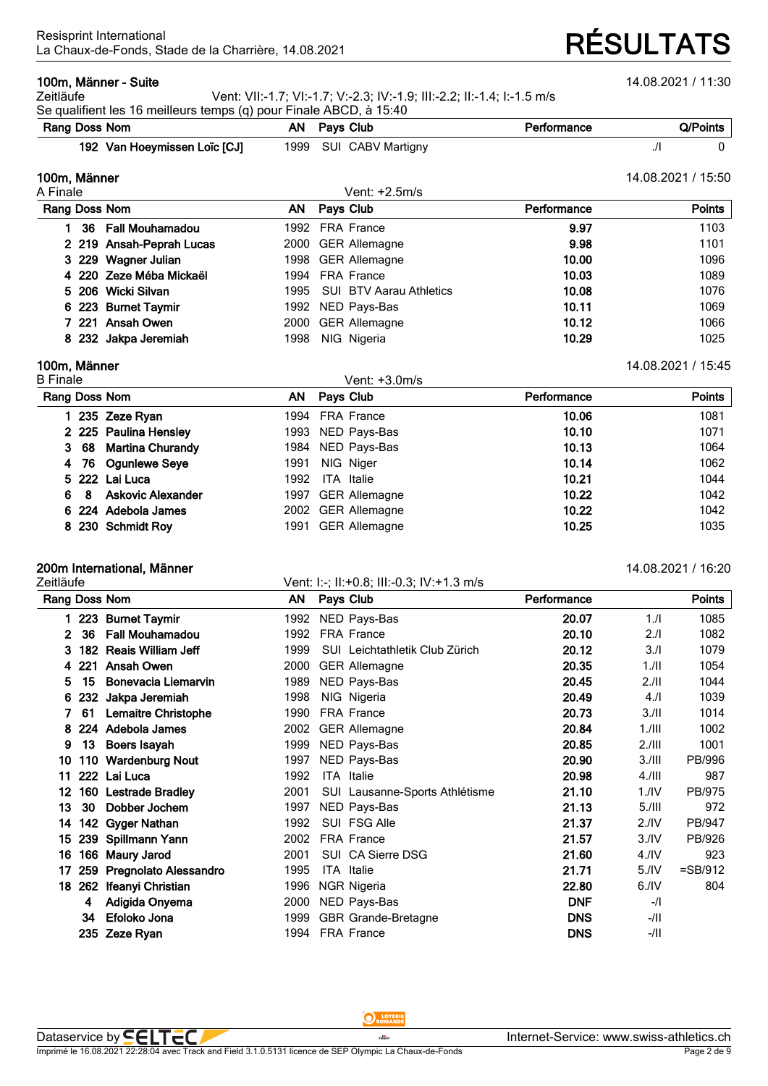### **100m, Männer - Suite** 14.08.2021 / 11:30

Zeitläufe Vent: VII:-1.7; VI:-1.7; V:-2.3; IV:-1.9; III:-2.2; II:-1.4; I:-1.5 m/s

| Se qualifient les 16 meilleurs temps (q) pour Finale ABCD, à 15:40 |  |                        |             |          |  |  |  |  |  |  |
|--------------------------------------------------------------------|--|------------------------|-------------|----------|--|--|--|--|--|--|
| Rang Doss Nom                                                      |  | AN Pays Club           | Performance | Q/Points |  |  |  |  |  |  |
| 192 Van Hoeymissen Loïc [CJ]                                       |  | 1999 SUI CABV Martigny |             |          |  |  |  |  |  |  |

| 100m, Männer             |      |                                |             | 14.08.2021 / 15:50 |
|--------------------------|------|--------------------------------|-------------|--------------------|
| A Finale                 |      | Vent: +2.5m/s                  |             |                    |
| Rang Doss Nom            | AN.  | Pays Club                      | Performance | Points             |
| 36 Fall Mouhamadou       |      | 1992 FRA France                | 9.97        | 1103               |
| 2 219 Ansah-Peprah Lucas |      | 2000 GER Allemagne             | 9.98        | 1101               |
| 3 229 Wagner Julian      |      | 1998 GER Allemagne             | 10.00       | 1096               |
| 4 220 Zeze Méba Mickaël  |      | 1994 FRA France                | 10.03       | 1089               |
| 5 206 Wicki Silvan       | 1995 | <b>SUI BTV Aarau Athletics</b> | 10.08       | 1076               |
| 6 223 Burnet Taymir      |      | 1992 NED Pays-Bas              | 10.11       | 1069               |
| 7 221 Ansah Owen         |      | 2000 GER Allemagne             | 10.12       | 1066               |
| 8 232 Jakpa Jeremiah     | 1998 | NIG Nigeria                    | 10.29       | 1025               |

### **100m, Männer** 14.08.2021 / 15:45

| <b>B</b> Finale                     | Vent: +3.0m/s                |             |        |
|-------------------------------------|------------------------------|-------------|--------|
| Rang Doss Nom                       | Pays Club<br>AN.             | Performance | Points |
| 235 Zeze Ryan                       | <b>FRA France</b><br>1994    | 10.06       | 1081   |
| 2 225 Paulina Hensley               | 1993 NED Pays-Bas            | 10.10       | 1071   |
| 3 68 Martina Churandy               | 1984 NED Pays-Bas            | 10.13       | 1064   |
| 4 76 Ogunlewe Seye                  | NIG Niger<br>1991            | 10.14       | 1062   |
| 5 222 Lai Luca                      | 1992<br><b>ITA</b> Italie    | 10.21       | 1044   |
| <b>Askovic Alexander</b><br>6<br>-8 | 1997 GER Allemagne           | 10.22       | 1042   |
| 6 224 Adebola James                 | 2002 GER Allemagne           | 10.22       | 1042   |
| 8 230 Schmidt Roy                   | <b>GER Allemagne</b><br>1991 | 10.25       | 1035   |

## **200m International, Männer** 14.08.2021 / 16:20

Zeitläufe Vent: I:-; II:+0.8; III:-0.3; IV:+1.3 m/s

|              |     | Rang Doss Nom                | ΑN   | Pays Club |                                | Performance |                  | <b>Points</b> |
|--------------|-----|------------------------------|------|-----------|--------------------------------|-------------|------------------|---------------|
|              | 223 | <b>Burnet Taymir</b>         | 1992 |           | NED Pays-Bas                   | 20.07       | 1/l              | 1085          |
| $\mathbf{2}$ | 36  | <b>Fall Mouhamadou</b>       | 1992 |           | <b>FRA France</b>              | 20.10       | 2.1              | 1082          |
| 3            | 182 | <b>Reais William Jeff</b>    | 1999 |           | SUI Leichtathletik Club Zürich | 20.12       | 3.1              | 1079          |
| 4            | 221 | Ansah Owen                   | 2000 |           | <b>GER Allemagne</b>           | 20.35       | 1/II             | 1054          |
| 5            | 15  | Bonevacia Liemarvin          | 1989 |           | NED Pays-Bas                   | 20.45       | 2.11             | 1044          |
| 6            | 232 | Jakpa Jeremiah               | 1998 |           | NIG Nigeria                    | 20.49       | 4.1              | 1039          |
| 7            | 61  | <b>Lemaitre Christophe</b>   | 1990 |           | <b>FRA France</b>              | 20.73       | 3.11             | 1014          |
| 8            | 224 | Adebola James                | 2002 |           | <b>GER Allemagne</b>           | 20.84       | $1.1$ III        | 1002          |
| 9            | 13  | Boers Isayah                 | 1999 |           | NED Pays-Bas                   | 20.85       | 2.111            | 1001          |
| 10           | 110 | <b>Wardenburg Nout</b>       | 1997 |           | NED Pays-Bas                   | 20.90       | 3.111            | PB/996        |
| 11           |     | 222 Lai Luca                 | 1992 |           | ITA Italie                     | 20.98       | $4.1$ III        | 987           |
| 12.          | 160 | <b>Lestrade Bradley</b>      | 2001 |           | SUI Lausanne-Sports Athlétisme | 21.10       | $1.$ /IV         | PB/975        |
| 13           | 30  | Dobber Jochem                | 1997 |           | NED Pays-Bas                   | 21.13       | $5.1$ III        | 972           |
| 14           | 142 | <b>Gyger Nathan</b>          | 1992 |           | SUI FSG Alle                   | 21.37       | 2.1 <sup>N</sup> | PB/947        |
| 15           | 239 | Spillmann Yann               | 2002 |           | FRA France                     | 21.57       | 3.1V             | PB/926        |
| 16           | 166 | <b>Maury Jarod</b>           | 2001 |           | SUI CA Sierre DSG              | 21.60       | 4.1 <sub>N</sub> | 923           |
| 17           | 259 | <b>Pregnolato Alessandro</b> | 1995 |           | ITA Italie                     | 21.71       | 5.1V             | $=$ SB/912    |
| 18           | 262 | Ifeanyi Christian            | 1996 |           | NGR Nigeria                    | 22.80       | 6.1V             | 804           |
|              | 4   | Adigida Onyema               | 2000 |           | NED Pays-Bas                   | <b>DNF</b>  | $-1$             |               |
|              | 34  | Efoloko Jona                 | 1999 |           | <b>GBR Grande-Bretagne</b>     | <b>DNS</b>  | -/II             |               |
|              | 235 | <b>Zeze Rvan</b>             | 1994 |           | <b>FRA France</b>              | <b>DNS</b>  | $-111$           |               |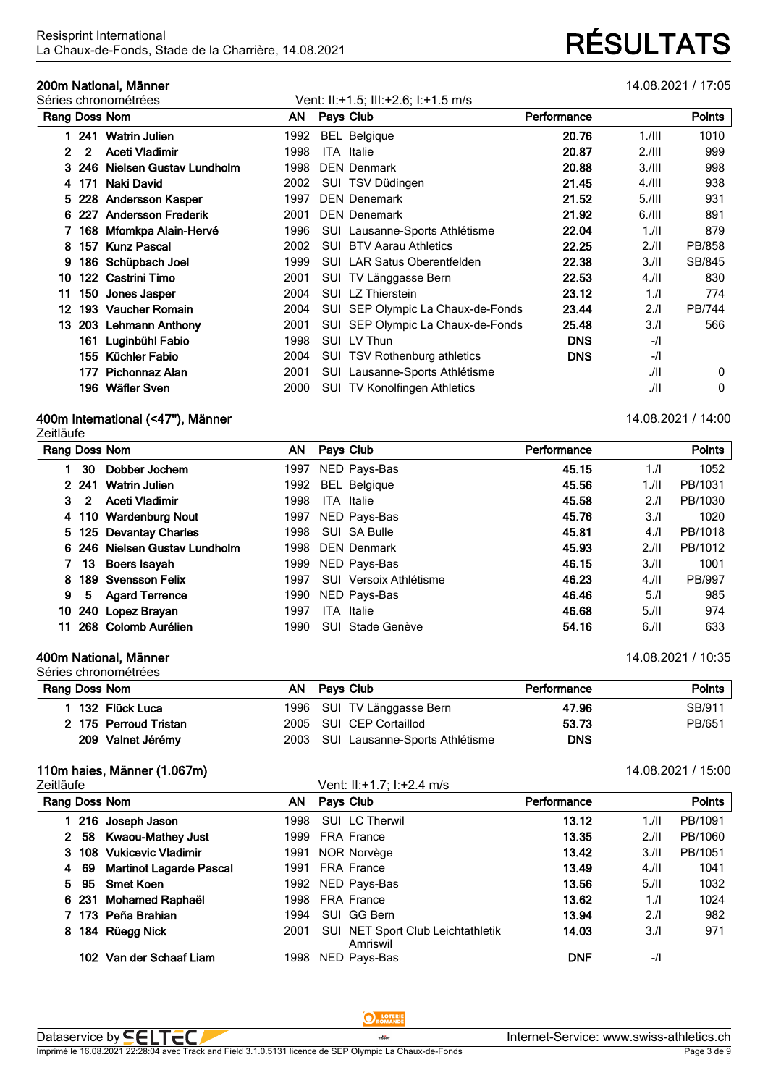# **200m National, Männer** 14.08.2021 / 17:05

|     |       | Séries chronométrées      |      |           | Vent: II:+1.5; III:+2.6; I:+1.5 m/s |             |           |               |
|-----|-------|---------------------------|------|-----------|-------------------------------------|-------------|-----------|---------------|
|     |       | Rang Doss Nom             | AN . | Pays Club |                                     | Performance |           | Points        |
|     | 1 241 | <b>Watrin Julien</b>      | 1992 |           | <b>BEL Belgique</b>                 | 20.76       | 1. / III  | 1010          |
| 2   | 2     | Aceti Vladimir            | 1998 | ITA.      | Italie                              | 20.87       | 2.111     | 999           |
|     | 3 246 | Nielsen Gustav Lundholm   | 1998 |           | <b>DEN Denmark</b>                  | 20.88       | 3.111     | 998           |
| 4   | 171   | Naki David                | 2002 |           | SUI TSV Düdingen                    | 21.45       | $4.1$ III | 938           |
| 5.  | 228   | <b>Andersson Kasper</b>   | 1997 |           | <b>DEN Denemark</b>                 | 21.52       | $5.1$ III | 931           |
| 6   | 227   | <b>Andersson Frederik</b> | 2001 |           | <b>DEN Denemark</b>                 | 21.92       | 6.111     | 891           |
|     | 168   | Mfomkpa Alain-Hervé       | 1996 |           | SUI Lausanne-Sports Athlétisme      | 22.04       | 1.11      | 879           |
| 8   | 157   | <b>Kunz Pascal</b>        | 2002 |           | <b>SUI BTV Aarau Athletics</b>      | 22.25       | 2.11      | PB/858        |
| 9   |       | 186 Schüpbach Joel        | 1999 |           | <b>SUI</b> LAR Satus Oberentfelden  | 22.38       | 3.11      | SB/845        |
| 10  | 122   | Castrini Timo             | 2001 |           | SUI TV Länggasse Bern               | 22.53       | $4.$ /ll  | 830           |
| 11  | 150   | Jones Jasper              | 2004 |           | SUI LZ Thierstein                   | 23.12       | 1.1       | 774           |
| 12. | 193   | <b>Vaucher Romain</b>     | 2004 |           | SUI SEP Olympic La Chaux-de-Fonds   | 23.44       | 2.1       | <b>PB/744</b> |
| 13. |       | 203 Lehmann Anthony       | 2001 |           | SUI SEP Olympic La Chaux-de-Fonds   | 25.48       | 3.1       | 566           |
|     | 161   | Luginbühl Fabio           | 1998 |           | SUI LV Thun                         | <b>DNS</b>  | $-1$      |               |
|     | 155   | Küchler Fabio             | 2004 |           | SUI TSV Rothenburg athletics        | <b>DNS</b>  | $-1$      |               |
|     | 177.  | Pichonnaz Alan            | 2001 |           | SUI Lausanne-Sports Athlétisme      |             | JII       | 0             |
|     |       | 196 Wäfler Sven           | 2000 |           | SUI TV Konolfingen Athletics        |             | JII       | 0             |

## **400m International (<47''), Männer** 14.08.2021 / 14:00

Zeitläufe

| Rang Doss Nom<br>ΑN<br>Pays Club<br>Performance                                    | <b>Points</b> |
|------------------------------------------------------------------------------------|---------------|
| Dobber Jochem<br>NED Pays-Bas<br>45.15<br>1.1<br>30<br>1997                        | 1052          |
| <b>BEL Belgique</b><br>45.56<br>2 2 4 1<br><b>Watrin Julien</b><br>1992<br>1.11    | PB/1031       |
| 45.58<br>3<br>Aceti Vladimir<br>1998<br><b>ITA</b> Italie<br>2.1<br>$\overline{2}$ | PB/1030       |
| 4 110 Wardenburg Nout<br>45.76<br>NED Pays-Bas<br>3.1<br>1997                      | 1020          |
| 5 125 Devantay Charles<br>SUI SA Bulle<br>4.1<br>1998<br>45.81                     | PB/1018       |
| 6 246 Nielsen Gustav Lundholm<br>45.93<br>2.11<br>1998<br><b>DEN Denmark</b>       | PB/1012       |
| 3.11<br>13<br>1999 NED Pays-Bas<br>46.15<br>Boers Isayah                           | 1001          |
| 189 Svensson Felix<br>SUI Versoix Athlétisme<br>4.11<br>46.23<br>8<br>1997         | PB/997        |
| 9<br>1990<br>NED Pays-Bas<br>46.46<br>5.1<br><b>Agard Terrence</b><br>5.           | 985           |
| 240 Lopez Brayan<br>46.68<br>5.11<br>1997<br>ITA<br>10<br>Italie                   | 974           |
| 268 Colomb Aurélien<br>54.16<br>6.11<br>1990<br>Stade Genève<br>11.<br>SUI.        | 633           |

### **400m National, Männer** 14.08.2021 / 10:35 Séries chronométrées

| Rang Doss Nom         | AN. | Pavs Club                           | Performance | Points |
|-----------------------|-----|-------------------------------------|-------------|--------|
| 132 Flück Luca        |     | 1996 SUI TV Länggasse Bern          | 47.96       | SB/911 |
| 2 175 Perroud Tristan |     | 2005 SUI CEP Cortaillod             | 53.73       | PB/651 |
| 209 Valnet Jérémy     |     | 2003 SUI Lausanne-Sports Athlétisme | <b>DNS</b>  |        |

## **110m haies, Männer (1.067m)** 14.08.2021 / 15:00

Zeitläufe

| Vent: II:+1.7: I:+2.4 m/s |  |  |  |
|---------------------------|--|--|--|

| Rang Doss Nom                             | AN.  | Pays Club                                     | Performance |      | <b>Points</b> |
|-------------------------------------------|------|-----------------------------------------------|-------------|------|---------------|
| 216 Joseph Jason                          | 1998 | SUI LC Therwil                                | 13.12       | 1.11 | PB/1091       |
| 58 Kwaou-Mathey Just<br>$\mathbf{2}^-$    | 1999 | <b>FRA France</b>                             | 13.35       | 2.11 | PB/1060       |
| 108 Vukicevic Vladimir<br>3               |      | 1991 NOR Norvège                              | 13.42       | 3.11 | PB/1051       |
| <b>Martinot Lagarde Pascal</b><br>69<br>4 | 1991 | <b>FRA France</b>                             | 13.49       | 4.11 | 1041          |
| <b>Smet Koen</b><br>95<br>5.              |      | 1992 NED Pays-Bas                             | 13.56       | 5.11 | 1032          |
| 6 231 Mohamed Raphaël                     |      | 1998 FRA France                               | 13.62       | 1.1  | 1024          |
| 7 173 Peña Brahian                        | 1994 | SUI GG Bern                                   | 13.94       | 2.1  | 982           |
| 184 Rüegg Nick<br>8.                      | 2001 | SUI NET Sport Club Leichtathletik<br>Amriswil | 14.03       | 3.1  | 971           |
| Van der Schaaf Liam<br>102                | 1998 | NED Pays-Bas                                  | <b>DNF</b>  | $-1$ |               |
|                                           |      |                                               |             |      |               |

## O LOTERIE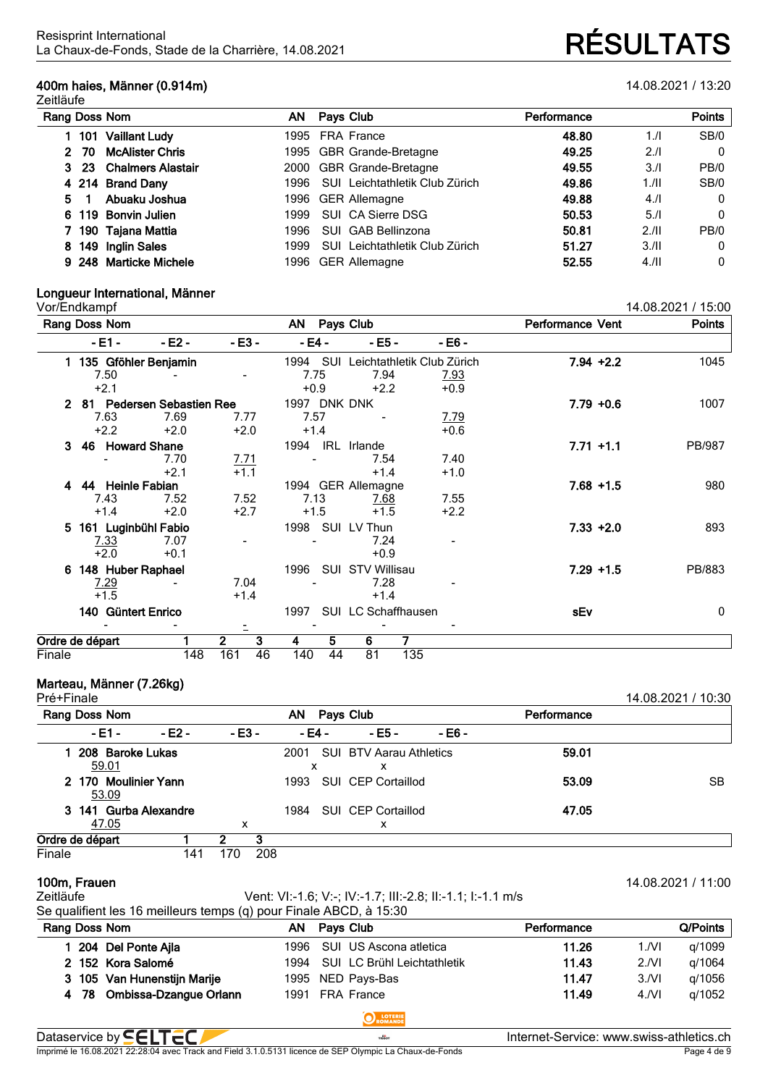## **400m haies, Männer (0.914m)** 14.08.2021 / 13:20

| Rang Doss Nom<br>AN                     |      | Pays Club                      | Performance |       | <b>Points</b> |
|-----------------------------------------|------|--------------------------------|-------------|-------|---------------|
| <b>Vaillant Ludy</b><br>101             |      | 1995 FRA France                | 48.80       | 1/l   | SB/0          |
| <b>McAlister Chris</b><br>- 70<br>2.    |      | 1995 GBR Grande-Bretagne       | 49.25       | 2.1   | $\mathbf{0}$  |
| <b>Chalmers Alastair</b><br>$3\quad 23$ |      | 2000 GBR Grande-Bretagne       | 49.55       | 3.1   | PB/0          |
| 4 214 Brand Dany                        | 1996 | SUI Leichtathletik Club Zürich | 49.86       | 1./II | SB/0          |
| Abuaku Joshua<br>5.                     |      | 1996 GER Allemagne             | 49.88       | 4.1   | $\mathbf{0}$  |
| 6 119 Bonvin Julien                     | 1999 | SUI CA Sierre DSG              | 50.53       | 5.1   | $\Omega$      |
| 7 190 Tajana Mattia                     | 1996 | SUI GAB Bellinzona             | 50.81       | 2.11  | PB/0          |
| 149 Inglin Sales<br>8                   | 1999 | SUI Leichtathletik Club Zürich | 51.27       | 3.11  | $\Omega$      |
| 9 248 Marticke Michele                  | 1996 | <b>GER Allemagne</b>           | 52.55       | 4.11  | $\mathbf{0}$  |

# **Longueur International, Männer**

14.08.2021 / 15:00 **Rang** Doss Nom **AN AN** Pays Club **Performance** Vent **- E1 - - E2 - - E3 - - E4 - - E5 - - E6 - 1 135 Gföhler Benjamin** 1994 SUI Leichtathletik Club Zürich **7.94 +2.2** 1045 7.50 - - 7.75 7.94 7.93 +2.1 +0.9 +2.2 +0.9 **2 81 Pedersen Sebastien Ree** 1997 DNK DNK **7.79 +0.6** 1007 7.63 7.69 7.77 7.57 - 7.79 +2.2 +2.0 +2.0 +1.4 +0.6 **3 46 Howard Shane** 1994 IRL Irlande **7.71 +1.1** PB/987 - 7.70 7.71 - 7.54 7.40 +2.1 +1.1 +1.4 +1.0 **4 44 Heinle Fabian** 1994 GER Allemagne **7.68 +1.5** 980 7.43 7.52 7.52 7.13 7.68 7.55 +1.4 +2.0 +2.7 +1.5 +1.5 +2.2 **5 161 Luginbühl Fabio** 1998 SUI LV Thun **7.33 +2.0** 893 7.33 7.07 - - 7.24 - +2.0 +0.1 +0.9 **6 148 Huber Raphael** 1996 SUI STV Willisau **7.29 +1.5** PB/883 7.29 - 7.04 - 7.28 - +1.5 +1.4 +1.4 **140 Güntert Enrico** 1997 SUI LC Schaffhausen **sEv** 0 - - - - - - **Ordre de départ 1 2 3 4 5 6 7** Finale 148 161 46 140 44 81 135

# **Marteau, Männer (7.26kg)**

| Pré+Finale      |                       |     |         |     |           |           |                    |                                |             | 14.08.2021 / 10:30 |
|-----------------|-----------------------|-----|---------|-----|-----------|-----------|--------------------|--------------------------------|-------------|--------------------|
| Rang Doss Nom   |                       |     |         |     | AN        | Pays Club |                    |                                | Performance |                    |
| - E1 -          | - E2 -                |     | $-E3 -$ |     | - E4 -    |           | $-EB-$             | - E6 -                         |             |                    |
| 59.01           | 208 Baroke Lukas      |     |         |     | 2001<br>x |           | x                  | <b>SUI BTV Aarau Athletics</b> | 59.01       |                    |
| 53.09           | 2 170 Moulinier Yann  |     |         |     | 1993      |           | SUI CEP Cortaillod |                                | 53.09       | <b>SB</b>          |
|                 | 3 141 Gurba Alexandre |     |         |     | 1984      |           | SUI CEP Cortaillod |                                | 47.05       |                    |
| 47.05           |                       |     | x       |     |           |           | х                  |                                |             |                    |
| Ordre de départ |                       |     |         | 3   |           |           |                    |                                |             |                    |
| Finale          |                       | 141 | 170     | 208 |           |           |                    |                                |             |                    |

| Zeitläufe | Vent: VI:-1.6; V:-; IV:-1.7; III:-2.8; II:-1.1; I:-1.1 m/s        |
|-----------|-------------------------------------------------------------------|
|           | Se qualifient les 16 meilleurs temps (q) pour Einale ARCD à 15:30 |

**100m, Frauen** 14.08.2021 / 11:00

| Se qualifient les 16 meilleurs temps (q) pour Finale ABCD, à 15:30 |                                     |                                          |
|--------------------------------------------------------------------|-------------------------------------|------------------------------------------|
| Rang Doss Nom                                                      | Pays Club<br>AN.                    | Q/Points<br>Performance                  |
| 204 Del Ponte Ajla                                                 | SUI US Ascona atletica<br>1996      | 11.26<br>g/1099<br>1/NI                  |
| 2 152 Kora Salomé                                                  | SUI LC Brühl Leichtathletik<br>1994 | q/1064<br>11.43<br>2/NI                  |
| 3 105 Van Hunenstijn Marije                                        | 1995 NED Pays-Bas                   | g/1056<br>11.47<br>3/Nl                  |
| 4 78 Ombissa-Dzangue Orlann                                        | 1991 FRA France                     | g/1052<br>11.49<br>4/Nl                  |
|                                                                    | <b>O</b> ROMANDE                    |                                          |
| Dataservice by <b>SELTEC</b>                                       | TISSOT                              | Internet-Service: www.swiss-athletics.ch |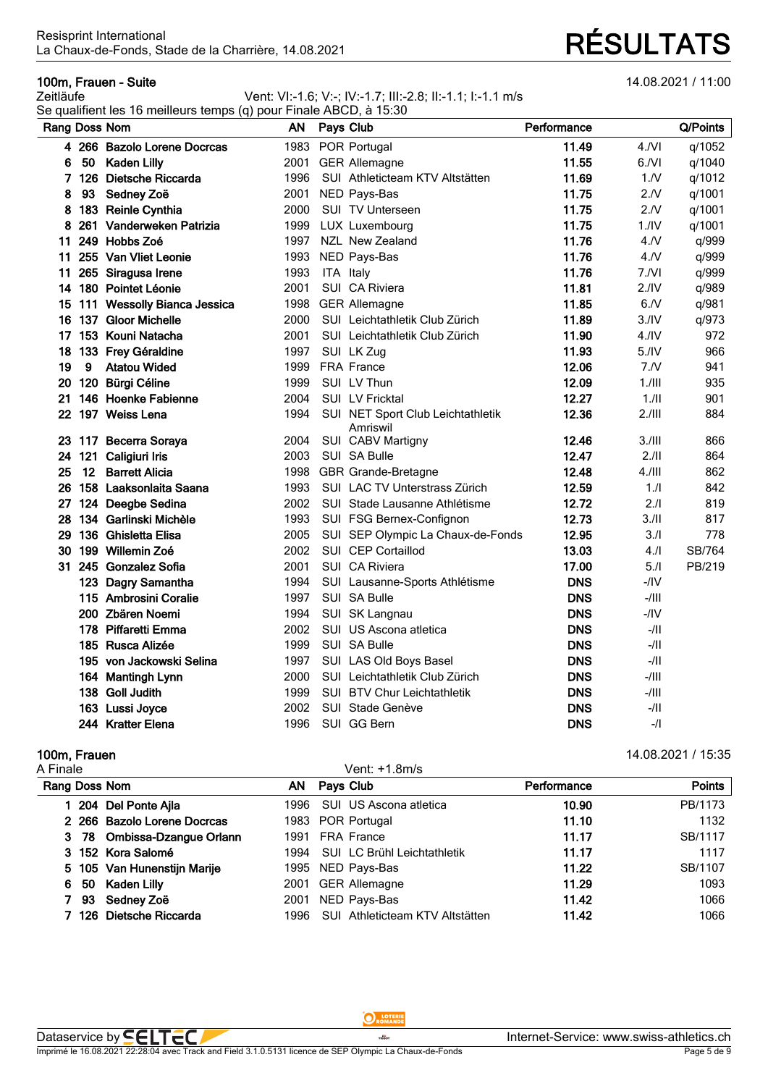## **100m, Frauen - Suite** 14.08.2021 / 11:00

### Zeitläufe Vent: VI:-1.6; V:-; IV:-1.7; III:-2.8; II:-1.1; I:-1.1 m/s Se qualifient les 16 meilleurs temps (q) pour Finale ABCD, à 15:30

|               |    | $\alpha$ quannoint ico To momearo tempo (q) pour T maio $\alpha$ DOD, a Toloo |           |           |                                   |             |                  |          |
|---------------|----|-------------------------------------------------------------------------------|-----------|-----------|-----------------------------------|-------------|------------------|----------|
| Rang Doss Nom |    |                                                                               | <b>AN</b> | Pays Club |                                   | Performance |                  | Q/Points |
|               |    | 4 266 Bazolo Lorene Docrcas                                                   | 1983      |           | POR Portugal                      | 11.49       | $4.$ N           | q/1052   |
| 6             |    | 50 Kaden Lilly                                                                |           |           | 2001 GER Allemagne                | 11.55       | 6/Nl             | q/1040   |
|               |    | 7 126 Dietsche Riccarda                                                       | 1996      |           | SUI Athleticteam KTV Altstätten   | 11.69       | 1/N              | q/1012   |
| 8             | 93 | Sedney Zoë                                                                    | 2001      |           | NED Pays-Bas                      | 11.75       | 2.N              | q/1001   |
| 8             |    | 183 Reinle Cynthia                                                            | 2000      |           | <b>SUI TV Unterseen</b>           | 11.75       | 2.N              | q/1001   |
| 8             |    | 261 Vanderweken Patrizia                                                      | 1999      |           | LUX Luxembourg                    | 11.75       | 1.1V             | q/1001   |
| 11            |    | 249 Hobbs Zoé                                                                 | 1997      |           | NZL New Zealand                   | 11.76       | 4. N             | q/999    |
|               |    | 11 255 Van Vliet Leonie                                                       | 1993      |           | NED Pays-Bas                      | 11.76       | 4. N             | q/999    |
| 11            |    | 265 Siragusa Irene                                                            | 1993      | ITA Italy |                                   | 11.76       | 7.NI             | q/999    |
| 14            |    | 180 Pointet Léonie                                                            | 2001      |           | SUI CA Riviera                    | 11.81       | 2.1V             | q/989    |
|               |    | 15 111 Wessolly Bianca Jessica                                                | 1998      |           | <b>GER Allemagne</b>              | 11.85       | 6/N              | q/981    |
| 16.           |    | 137 Gloor Michelle                                                            | 2000      |           | SUI Leichtathletik Club Zürich    | 11.89       | 3.1V             | q/973    |
|               |    | 17 153 Kouni Natacha                                                          | 2001      |           | SUI Leichtathletik Club Zürich    | 11.90       | 4.1 <sup>N</sup> | 972      |
| 18            |    | 133 Frey Géraldine                                                            | 1997      |           | SUI LK Zug                        | 11.93       | 5.1V             | 966      |
| 19            | 9  | <b>Atatou Wided</b>                                                           | 1999      |           | <b>FRA France</b>                 | 12.06       | 7.N              | 941      |
| 20            |    | 120 Bürgi Céline                                                              | 1999      |           | SUI LV Thun                       | 12.09       | 1.111            | 935      |
| 21            |    | 146 Hoenke Fabienne                                                           | 2004      |           | SUI LV Fricktal                   | 12.27       | 1.11             | 901      |
| 22            |    | 197 Weiss Lena                                                                | 1994      |           | SUI NET Sport Club Leichtathletik | 12.36       | 2.111            | 884      |
|               |    | 23 117 Becerra Soraya                                                         | 2004      |           | Amriswil<br>SUI CABV Martigny     | 12.46       | 3.111            | 866      |
| 24            |    | 121 Caligiuri Iris                                                            | 2003      |           | SUI SA Bulle                      | 12.47       | 2.11             | 864      |
| 25            |    | 12 Barrett Alicia                                                             | 1998      |           | <b>GBR Grande-Bretagne</b>        | 12.48       | 4.111            | 862      |
| 26            |    | 158 Laaksonlaita Saana                                                        | 1993      |           | SUI LAC TV Unterstrass Zürich     | 12.59       | 1.1              | 842      |
|               |    | 27 124 Deegbe Sedina                                                          | 2002      |           | SUI Stade Lausanne Athlétisme     | 12.72       | 2.1              | 819      |
| 28            |    | 134 Garlinski Michèle                                                         | 1993      |           | SUI FSG Bernex-Confignon          | 12.73       | 3.11             | 817      |
| 29            |    | 136 Ghisletta Elisa                                                           | 2005      |           | SUI SEP Olympic La Chaux-de-Fonds | 12.95       | 3.1              | 778      |
| 30            |    | 199 Willemin Zoé                                                              | 2002      |           | SUI CEP Cortaillod                | 13.03       | 4.               | SB/764   |
|               |    | 31 245 Gonzalez Sofia                                                         | 2001      |           | SUI CA Riviera                    | 17.00       | 5.1              | PB/219   |
|               |    | 123 Dagry Samantha                                                            | 1994      |           | SUI Lausanne-Sports Athlétisme    | <b>DNS</b>  | $-$ /IV          |          |
|               |    | 115 Ambrosini Coralie                                                         | 1997      |           | SUI SA Bulle                      | <b>DNS</b>  | $-/$             |          |
|               |    | 200 Zbären Noemi                                                              | 1994      |           | SUI SK Langnau                    | <b>DNS</b>  | $-IIV$           |          |
|               |    | 178 Piffaretti Emma                                                           | 2002      |           | SUI US Ascona atletica            | <b>DNS</b>  | $-/II$           |          |
|               |    | 185 Rusca Alizée                                                              | 1999      |           | SUI SA Bulle                      | <b>DNS</b>  | -/II             |          |
|               |    | 195 von Jackowski Selina                                                      | 1997      |           | SUI LAS Old Boys Basel            | <b>DNS</b>  | -/II             |          |
|               |    | 164 Mantingh Lynn                                                             | 2000      |           | SUI Leichtathletik Club Zürich    | <b>DNS</b>  | -/III            |          |
|               |    | 138 Goll Judith                                                               | 1999      |           | SUI BTV Chur Leichtathletik       | <b>DNS</b>  | -/III            |          |
|               |    | 163 Lussi Joyce                                                               | 2002      |           | SUI Stade Genève                  | <b>DNS</b>  | -/II             |          |
|               |    | 244 Kratter Elena                                                             | 1996      |           | SUI GG Bern                       | <b>DNS</b>  | $-$ /            |          |
|               |    |                                                                               |           |           |                                   |             |                  |          |

| 100m, Frauen                   |      |                                    |             | 14.08.2021 / 15:35 |
|--------------------------------|------|------------------------------------|-------------|--------------------|
| A Finale                       |      | Vent: +1.8m/s                      |             |                    |
| Rang Doss Nom                  | ΑN   | Pays Club                          | Performance | <b>Points</b>      |
| 204 Del Ponte Ajla             | 1996 | SUI US Ascona atletica             | 10.90       | PB/1173            |
| 2 266 Bazolo Lorene Docrcas    |      | 1983 POR Portugal                  | 11.10       | 1132               |
| 78 Ombissa-Dzangue Orlann<br>3 | 1991 | <b>FRA France</b>                  | 11.17       | SB/1117            |
| 3 152 Kora Salomé              | 1994 | <b>SUI LC Brühl Leichtathletik</b> | 11.17       | 1117               |
| 5 105 Van Hunenstijn Marije    |      | 1995 NED Pays-Bas                  | 11.22       | SB/1107            |
| Kaden Lilly<br>50<br>6         | 2001 | <b>GER Allemagne</b>               | 11.29       | 1093               |
| 93<br>Sedney Zoë               | 2001 | NED Pays-Bas                       | 11.42       | 1066               |
| 126 Dietsche Riccarda          | 1996 | SUI Athleticteam KTV Altstätten    | 11.42       | 1066               |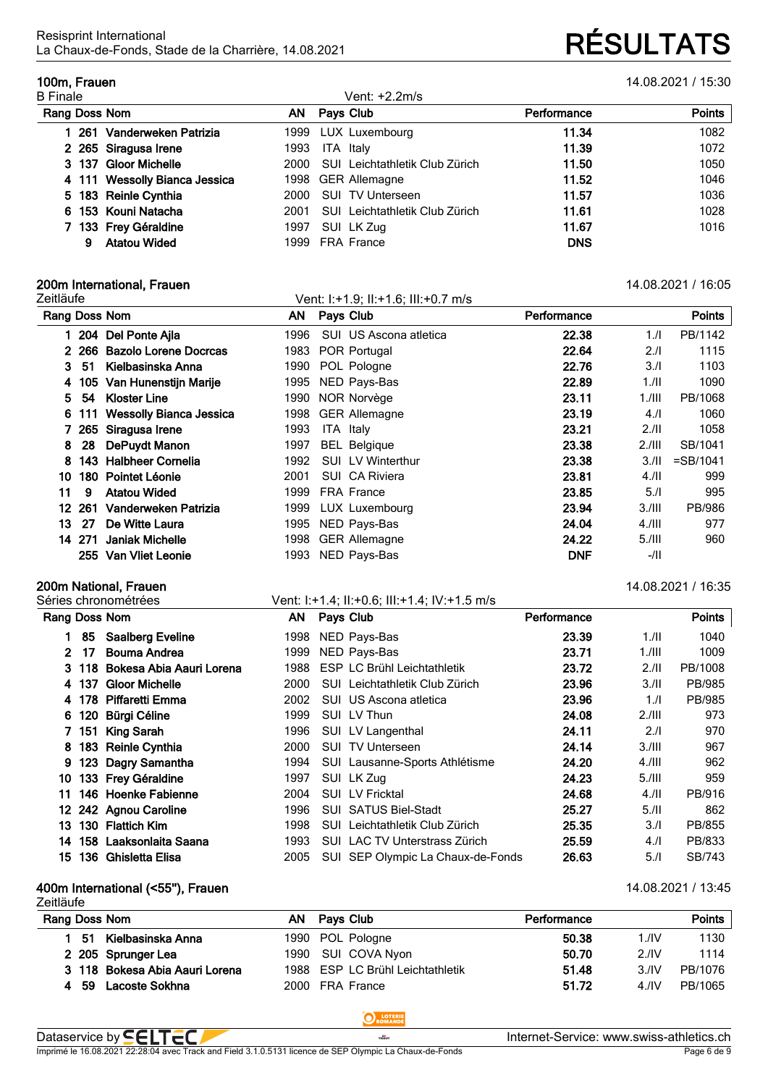# La Chaux-de-Fonds, Stade de la Charrière, 14.08.2021 **RÉSULTATS**

**100m, Frauen** 14.08.2021 / 15:30

| <b>B</b> Finale               |      | Vent: +2.2m/s                  |             |               |  |  |
|-------------------------------|------|--------------------------------|-------------|---------------|--|--|
| Rang Doss Nom                 | ΑN   | Pays Club                      | Performance | <b>Points</b> |  |  |
| 261 Vanderweken Patrizia      |      | 1999 LUX Luxembourg            | 11.34       | 1082          |  |  |
| 2 265 Siragusa Irene          | 1993 | ITA Italy                      | 11.39       | 1072          |  |  |
| 3 137 Gloor Michelle          | 2000 | SUI Leichtathletik Club Zürich | 11.50       | 1050          |  |  |
| 4 111 Wessolly Bianca Jessica |      | 1998 GER Allemagne             | 11.52       | 1046          |  |  |
| 5 183 Reinle Cynthia          | 2000 | <b>SUI TV Unterseen</b>        | 11.57       | 1036          |  |  |
| 6 153 Kouni Natacha           | 2001 | SUI Leichtathletik Club Zürich | 11.61       | 1028          |  |  |
| 133 Frey Géraldine            | 1997 | SUI LK Zug                     | 11.67       | 1016          |  |  |
| <b>Atatou Wided</b><br>9      | 1999 | <b>FRA France</b>              | <b>DNS</b>  |               |  |  |

# **200m International, Frauen** 14.08.2021 / 16:05

| Zeitläufe     |        |                             |      | Vent: 1:+1.9; II:+1.6; III:+0.7 m/s |             |           |             |
|---------------|--------|-----------------------------|------|-------------------------------------|-------------|-----------|-------------|
| Rang Doss Nom |        |                             | ΑN   | Pays Club                           | Performance |           | Points      |
|               |        | 204 Del Ponte Ajla          | 1996 | SUI US Ascona atletica              | 22.38       | 1.1       | PB/1142     |
| 2.            | 266    | Bazolo Lorene Docrcas       | 1983 | POR Portugal                        | 22.64       | 2.1       | 1115        |
| 3             | 51     | Kielbasinska Anna           | 1990 | POL Pologne                         | 22.76       | 3.1       | 1103        |
| 4             |        | 105 Van Hunenstijn Marije   | 1995 | NED Pays-Bas                        | 22.89       | 1.11      | 1090        |
| 5.            | 54     | <b>Kloster Line</b>         | 1990 | NOR Norvège                         | 23.11       | $1.$ /III | PB/1068     |
| 6             |        | 111 Wessolly Bianca Jessica | 1998 | <b>GER Allemagne</b>                | 23.19       | 4.        | 1060        |
|               |        | 265 Siragusa Irene          | 1993 | ITA Italy                           | 23.21       | 2.11      | 1058        |
| 8             | 28     | DePuydt Manon               | 1997 | <b>BEL Belgique</b>                 | 23.38       | 2.111     | SB/1041     |
| 8             | 143    | <b>Halbheer Cornelia</b>    | 1992 | <b>SUI LV Winterthur</b>            | 23.38       | 3.11      | $=$ SB/1041 |
| 10            | 180    | <b>Pointet Léonie</b>       | 2001 | SUI CA Riviera                      | 23.81       | 4.11      | 999         |
| 11            | 9      | <b>Atatou Wided</b>         | 1999 | <b>FRA France</b>                   | 23.85       | 5.1       | 995         |
| 12            | 261    | Vanderweken Patrizia        | 1999 | LUX Luxembourg                      | 23.94       | 3./III    | PB/986      |
| 13.           | 27     | De Witte Laura              | 1995 | NED Pays-Bas                        | 24.04       | $4.1$ III | 977         |
|               | 14 271 | <b>Janiak Michelle</b>      | 1998 | <b>GER Allemagne</b>                | 24.22       | $5.1$ III | 960         |
|               |        | 255 Van Vliet Leonie        | 1993 | NED Pays-Bas                        | <b>DNF</b>  | $-/$ ll   |             |

# **200m National, Frauen**<br> **200m National, Frauen**<br>
Vent: 1:+1.4; 11:+0.6; 111:+1.4; 1V:+1.5 m/s<br> **14.08.2021 / 16:35**

| Rang Doss Nom |       |                          | ΑN    | <b>Pays Club</b> |                                    | Performance |           | <b>Points</b> |
|---------------|-------|--------------------------|-------|------------------|------------------------------------|-------------|-----------|---------------|
|               | 85    | <b>Saalberg Eveline</b>  | 1998  |                  | NED Pays-Bas                       | 23.39       | 1.11      | 1040          |
| $2^{\circ}$   | 17    | <b>Bouma Andrea</b>      | 1999. |                  | NED Pays-Bas                       | 23.71       | 1.711     | 1009          |
|               | 3 118 | Bokesa Abia Aauri Lorena | 1988  |                  | <b>ESP LC Brühl Leichtathletik</b> | 23.72       | 2.11      | PB/1008       |
|               | 4 137 | <b>Gloor Michelle</b>    | 2000  | SUI              | Leichtathletik Club Zürich         | 23.96       | 3.11      | PB/985        |
|               |       | 4 178 Piffaretti Emma    | 2002  |                  | SUI US Ascona atletica             | 23.96       | 1.1       | PB/985        |
| 6             | 120   | Bürgi Céline             | 1999  |                  | SUI LV Thun                        | 24.08       | 2.111     | 973           |
| 7             | 151   | <b>King Sarah</b>        | 1996  |                  | SUI LV Langenthal                  | 24.11       | 2.1       | 970           |
| 8.            |       | 183 Reinle Cynthia       | 2000  | SUI.             | <b>TV Unterseen</b>                | 24.14       | 3.111     | 967           |
| 9             |       | 123 Dagry Samantha       | 1994  |                  | SUI Lausanne-Sports Athlétisme     | 24.20       | $4.1$ III | 962           |
| 10            |       | 133 Frey Géraldine       | 1997  |                  | SUI LK Zug                         | 24.23       | $5.1$ III | 959           |
| 11            |       | 146 Hoenke Fabienne      | 2004  |                  | <b>SUI LV Fricktal</b>             | 24.68       | 4.11      | PB/916        |
| 12            |       | 242 Agnou Caroline       | 1996  |                  | <b>SUI SATUS Biel-Stadt</b>        | 25.27       | 5.11      | 862           |
| 13            |       | 130 Flattich Kim         | 1998  | <b>SUI</b>       | Leichtathletik Club Zürich         | 25.35       | 3.1       | PB/855        |
| 14            | 158   | Laaksonlaita Saana       | 1993  | SUI              | LAC TV Unterstrass Zürich          | 25.59       | 4.1       | PB/833        |
| 15            |       | 136 Ghisletta Elisa      | 2005  |                  | SUI SEP Olympic La Chaux-de-Fonds  | 26.63       | 5.1       | SB/743        |

Vent: I:+1.4; II:+0.6; III:+1.4; IV:+1.5 m/s

## **400m International (<55''), Frauen** 14.08.2021 / 13:45

| Zeitläufe                      |     |                                  |             |                  |               |  |  |  |  |  |
|--------------------------------|-----|----------------------------------|-------------|------------------|---------------|--|--|--|--|--|
| Rang Doss Nom                  | AN. | Pays Club                        | Performance |                  | <b>Points</b> |  |  |  |  |  |
| Kielbasinska Anna<br>- 51      |     | 1990 POL Pologne                 | 50.38       | 1./IV            | 1130          |  |  |  |  |  |
| 2 205 Sprunger Lea             |     | 1990 SUI COVA Nyon               | 50.70       | 2.1 <sup>N</sup> | 1114          |  |  |  |  |  |
| 3 118 Bokesa Abia Aauri Lorena |     | 1988 ESP LC Brühl Leichtathletik | 51.48       | 3.1 <sup>N</sup> | PB/1076       |  |  |  |  |  |
| 4 59<br>Lacoste Sokhna         |     | 2000 FRA France                  | 51.72       | 4.1 <sup>N</sup> | PB/1065       |  |  |  |  |  |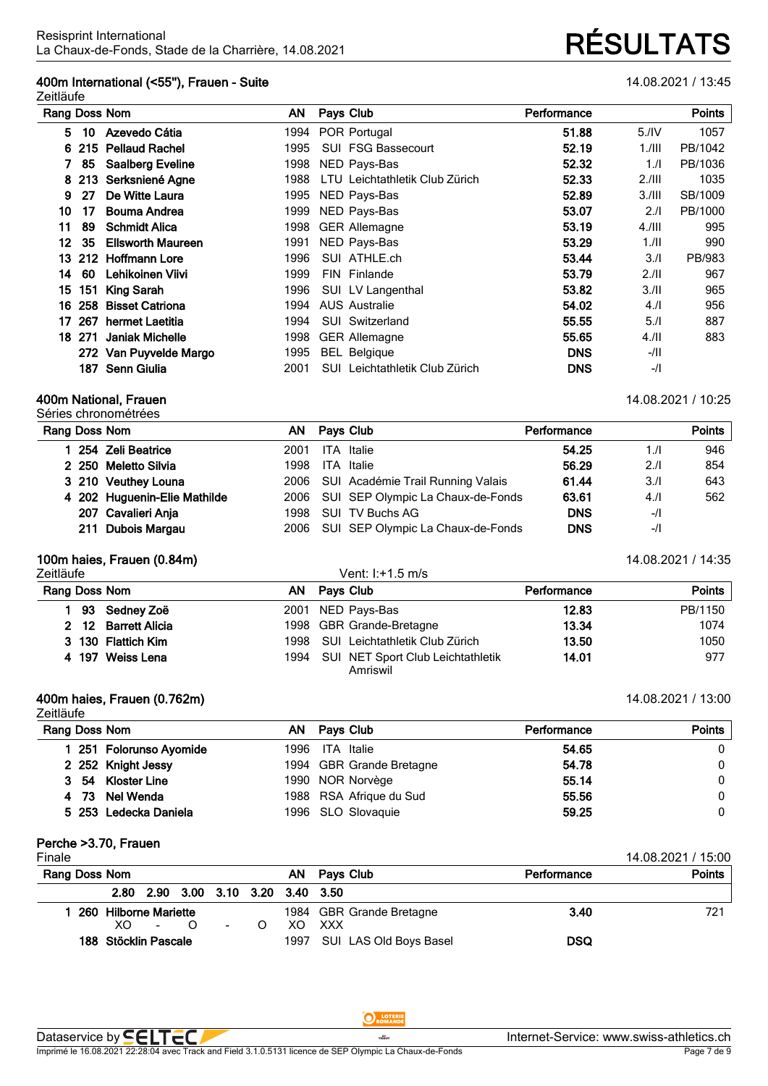## **400m International (<55''), Frauen - Suite** 14.08.2021 / 13:45

Zeitläufe

| Rang Doss Nom |         | ΑN                       | Pays Club | Performance                              |            | <b>Points</b> |         |
|---------------|---------|--------------------------|-----------|------------------------------------------|------------|---------------|---------|
| 5.            | 10      | Azevedo Cátia            | 1994      | POR Portugal                             | 51.88      | 5.1V          | 1057    |
|               |         | 6 215 Pellaud Rachel     | 1995      | <b>SUI FSG Bassecourt</b>                | 52.19      | $1.$ /III     | PB/1042 |
|               | 85      | <b>Saalberg Eveline</b>  | 1998      | NED Pays-Bas                             | 52.32      | 1.1           | PB/1036 |
|               | 8 2 1 3 | Serksniené Agne          | 1988      | LTU Leichtathletik Club Zürich           | 52.33      | 2.111         | 1035    |
| 9             | 27      | De Witte Laura           | 1995      | NED Pays-Bas                             | 52.89      | 3./III        | SB/1009 |
| 10            | 17      | Bouma Andrea             | 1999      | NED Pays-Bas                             | 53.07      | 2.1           | PB/1000 |
| 11            | 89      | <b>Schmidt Alica</b>     | 1998      | <b>GER Allemagne</b>                     | 53.19      | $4.1$ III     | 995     |
| 12            | 35      | <b>Ellsworth Maureen</b> | 1991      | NED Pays-Bas                             | 53.29      | 1.11          | 990     |
|               |         | 13 212 Hoffmann Lore     | 1996      | SUI ATHLE.ch                             | 53.44      | 3.1           | PB/983  |
| 14            | 60      | Lehikoinen Viivi         | 1999      | FIN Finlande                             | 53.79      | 2.11          | 967     |
| 15            | 151     | King Sarah               | 1996      | SUI LV Langenthal                        | 53.82      | 3.11          | 965     |
| 16            | 258     | <b>Bisset Catriona</b>   | 1994      | <b>AUS Australie</b>                     | 54.02      | 4.1           | 956     |
| 17            | 267     | hermet Laetitia          | 1994      | SUI Switzerland                          | 55.55      | 5.1           | 887     |
|               | 18 271  | Janiak Michelle          | 1998      | <b>GER Allemagne</b>                     | 55.65      | 4.11          | 883     |
|               |         | 272 Van Puyvelde Margo   | 1995      | <b>BEL Belgique</b>                      | <b>DNS</b> | $-/II$        |         |
|               | 187     | <b>Senn Giulia</b>       | 2001      | Leichtathletik Club Zürich<br><b>SUI</b> | <b>DNS</b> | $-$ /l        |         |

## **400m National, Frauen** 14.08.2021 / 10:25

Séries chronométrées

| Rang Doss Nom |                              |       | AN Pays Club |                                        | Performance |        | Points |
|---------------|------------------------------|-------|--------------|----------------------------------------|-------------|--------|--------|
|               | 254 Zeli Beatrice            | 2001  |              | <b>ITA</b> Italie                      | 54.25       | 1/l    | 946    |
|               | 2 250 Meletto Silvia         | 1998. |              | <b>ITA</b> Italie                      | 56.29       | 2.1    | 854    |
|               | 3 210 Veuthey Louna          |       |              | 2006 SUI Académie Trail Running Valais | 61.44       | 3.1    | 643    |
|               | 4 202 Huguenin-Elie Mathilde |       |              | 2006 SUI SEP Olympic La Chaux-de-Fonds | 63.61       | 4.11   | 562    |
|               | 207 Cavalieri Anja           | 1998  |              | SUI TV Buchs AG                        | <b>DNS</b>  | $-$ /l |        |
|               | 211 Dubois Margau            |       |              | 2006 SUI SEP Olympic La Chaux-de-Fonds | <b>DNS</b>  | $-$ /l |        |
|               |                              |       |              |                                        |             |        |        |

## **100m haies, Frauen (0.84m)** 14:08.2021 / 14:35

| Zeitläufe           |      | Vent: I:+1.5 m/s                              |             |         |
|---------------------|------|-----------------------------------------------|-------------|---------|
| Rang Doss Nom       | AN.  | Pays Club                                     | Performance | Points  |
| 93 Sedney Zoë       |      | 2001 NED Pays-Bas                             | 12.83       | PB/1150 |
| 2 12 Barrett Alicia |      | 1998 GBR Grande-Bretagne                      | 13.34       | 1074    |
| 3 130 Flattich Kim  |      | 1998 SUI Leichtathletik Club Zürich           | 13.50       | 1050    |
| 4 197 Weiss Lena    | 1994 | SUI NET Sport Club Leichtathletik<br>Amriswil | 14.01       | 977     |

## **400m haies, Frauen (0.762m)** 14.08.2021 / 13:00

Zeitläufe **Rang Doss Nom AN Pays Club Performance Points 251 Folorunso Ayomide** 1996 ITA Italie **54.65** 0 **252 Knight Jessy** 1994 GBR Grande Bretagne **54.78** 0 **54 Kloster Line** 1990 NOR Norvège **55.14** 0 **73 Nel Wenda** 1988 RSA Afrique du Sud **55.56** 0 **253 Ledecka Daniela** 1996 SLO Slovaquie **59.25** 0

# **Perche >3.70, Frauen**

| Finale        |                       |                                    |  |                          |      |     |                             |            | 14.08.2021 / 15:00 |  |
|---------------|-----------------------|------------------------------------|--|--------------------------|------|-----|-----------------------------|------------|--------------------|--|
| Rang Doss Nom |                       |                                    |  | Pays Club<br>AN.         |      |     | Performance                 | Points     |                    |  |
|               |                       | 2.80 2.90 3.00 3.10 3.20 3.40 3.50 |  |                          |      |     |                             |            |                    |  |
|               | 260 Hilborne Mariette |                                    |  | 1984 GBR Grande Bretagne | 3.40 | 721 |                             |            |                    |  |
|               | XO.                   | $\sim$                             |  | $\sim$                   |      | XO. | xxx                         |            |                    |  |
|               | 188 Stöcklin Pascale  |                                    |  |                          |      |     | 1997 SUI LAS Old Boys Basel | <b>DSQ</b> |                    |  |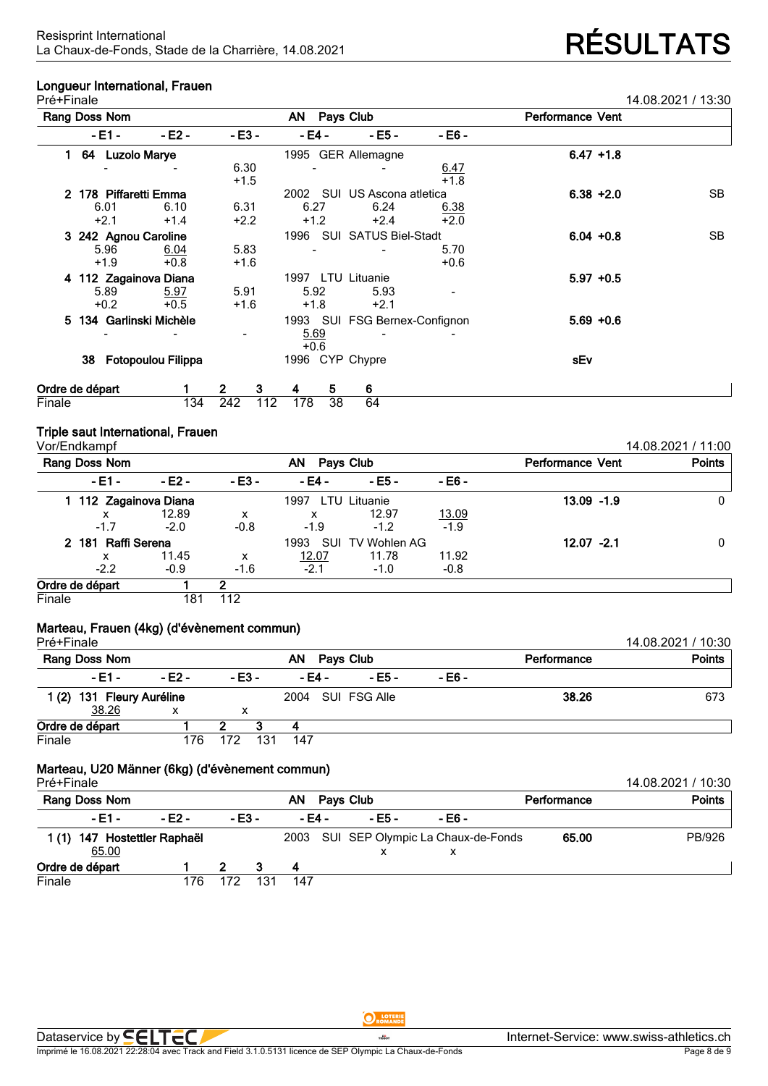## **Longueur International, Frauen**

| Pré+Finale     |                         |                           |                              |                               |        |                         |              | 14.08.2021 / 13:30 |
|----------------|-------------------------|---------------------------|------------------------------|-------------------------------|--------|-------------------------|--------------|--------------------|
|                | Rang Doss Nom           |                           |                              | AN Pays Club                  |        | <b>Performance Vent</b> |              |                    |
|                | - E1 -                  | - E2 -                    | - E3 -                       | - E4 -                        | - E5 - | - E6 -                  |              |                    |
|                | 64 Luzolo Marye         |                           |                              | 1995 GER Allemagne            |        |                         | $6.47 + 1.8$ |                    |
|                |                         |                           | 6.30<br>$+1.5$               |                               |        | $\frac{6.47}{+1.8}$     |              |                    |
| $\mathbf{2}^-$ | 178 Piffaretti Emma     |                           |                              | 2002 SUI US Ascona atletica   |        |                         | $6.38 + 2.0$ | <b>SB</b>          |
|                | 6.01                    | 6.10                      | 6.31                         | 6.27                          | 6.24   | 6.38                    |              |                    |
|                | $+2.1$                  | $+1.4$                    | $+2.2$                       | $+1.2$                        | $+2.4$ | $+2.0$                  |              |                    |
|                | 3 242 Agnou Caroline    |                           |                              | 1996 SUI SATUS Biel-Stadt     |        |                         | $6.04 + 0.8$ | SB.                |
|                | 5.96<br>$+1.9$          | 6.04<br>$+0.8$            | 5.83<br>$+1.6$               |                               |        | 5.70<br>$+0.6$          |              |                    |
|                | 4 112 Zagainova Diana   |                           |                              | 1997 LTU Lituanie             |        |                         | $5.97 + 0.5$ |                    |
|                | 5.89                    | 5.97                      | 5.91                         | 5.92                          | 5.93   |                         |              |                    |
|                | $+0.2$                  | $+0.5$                    | $+1.6$                       | $+1.8$                        | $+2.1$ |                         |              |                    |
|                | 5 134 Garlinski Michèle |                           |                              | 1993 SUI FSG Bernex-Confignon |        |                         | $5.69 + 0.6$ |                    |
|                |                         |                           | $\qquad \qquad \blacksquare$ | 5.69<br>$+0.6$                |        |                         |              |                    |
|                | 38                      | <b>Fotopoulou Filippa</b> |                              | 1996 CYP Chypre               |        |                         | sEv          |                    |
|                | Ordre de départ         |                           | 3<br>2.                      | 5.<br>4                       | 6      |                         |              |                    |
| Finale         |                         | 134                       | 242<br>112                   | 38<br>178                     | 64     |                         |              |                    |

## **Triple saut International, Frauen**

| Vor/Endkampf          |         |                 |             |                         |               |               | 14.08.2021 / 11:00 |
|-----------------------|---------|-----------------|-------------|-------------------------|---------------|---------------|--------------------|
| Rang Doss Nom         |         | AN<br>Pays Club |             | <b>Performance Vent</b> | <b>Points</b> |               |                    |
| $-E1 -$               | $-E2 -$ | $-E3 -$         | - E4 -      | - E5 -                  | - E6 -        |               |                    |
| 1 112 Zagainova Diana |         |                 | 1997        | LTU Lituanie            |               | $13.09 - 1.9$ | 0                  |
| x                     | 12.89   | x               | x           | 12.97                   | 13.09         |               |                    |
| $-1.7$                | $-2.0$  | $-0.8$          | $-1.9$      | $-1.2$                  | $-1.9$        |               |                    |
| 2 181 Raffi Serena    |         |                 | 1993<br>SUI | TV Wohlen AG            |               | $12.07 - 2.1$ | 0                  |
| x                     | 11.45   | x               | 12.07       | 11.78                   | 11.92         |               |                    |
| $-2.2$                | $-0.9$  | $-1.6$          | $-2.1$      | $-1.0$                  | $-0.8$        |               |                    |
| Ordre de départ       |         | 2               |             |                         |               |               |                    |
| Finale                | 181     | 112             |             |                         |               |               |                    |

## **Marteau, Frauen (4kg) (d'évènement commun)**

| Pré+Finale                |        |        |     |                   |           |        |             | 14.08.2021 / 10:30 |
|---------------------------|--------|--------|-----|-------------------|-----------|--------|-------------|--------------------|
| <b>Rang Doss Nom</b>      |        |        |     | AN.               | Pays Club |        | Performance | <b>Points</b>      |
| - E1 -                    | - E2 - | $-E3-$ |     | - E4 -            | - E5 -    | - E6 - |             |                    |
| 1 (2) 131 Fleury Auréline |        |        |     | 2004 SUI FSG Alle |           | 38.26  | 673         |                    |
| 38.26                     | х      |        |     |                   |           |        |             |                    |
| Ordre de départ           |        |        |     |                   |           |        |             |                    |
| Finale                    | 176    | 172    | 131 | 147               |           |        |             |                    |

# **Marteau, U20 Männer (6kg) (d'évènement commun)**

| Pré+Finale                            |          |         |     |                 |             |                                        |       | 14.08.2021 / 10:30 |
|---------------------------------------|----------|---------|-----|-----------------|-------------|----------------------------------------|-------|--------------------|
| Rang Doss Nom                         |          |         |     | ΑN<br>Pays Club | Performance | <b>Points</b>                          |       |                    |
| - E1 -                                | $- F2 -$ | $-E3 -$ |     | - F4 -          | - E5 -      | $-E6 -$                                |       |                    |
| 1 (1) 147 Hostettler Raphaël<br>65.00 |          |         |     |                 | $\lambda$   | 2003 SUI SEP Olympic La Chaux-de-Fonds | 65.00 | PB/926             |
| Ordre de départ                       |          |         |     | 4               |             |                                        |       |                    |
| Finale                                | 176.     |         | 131 | 147             |             |                                        |       |                    |